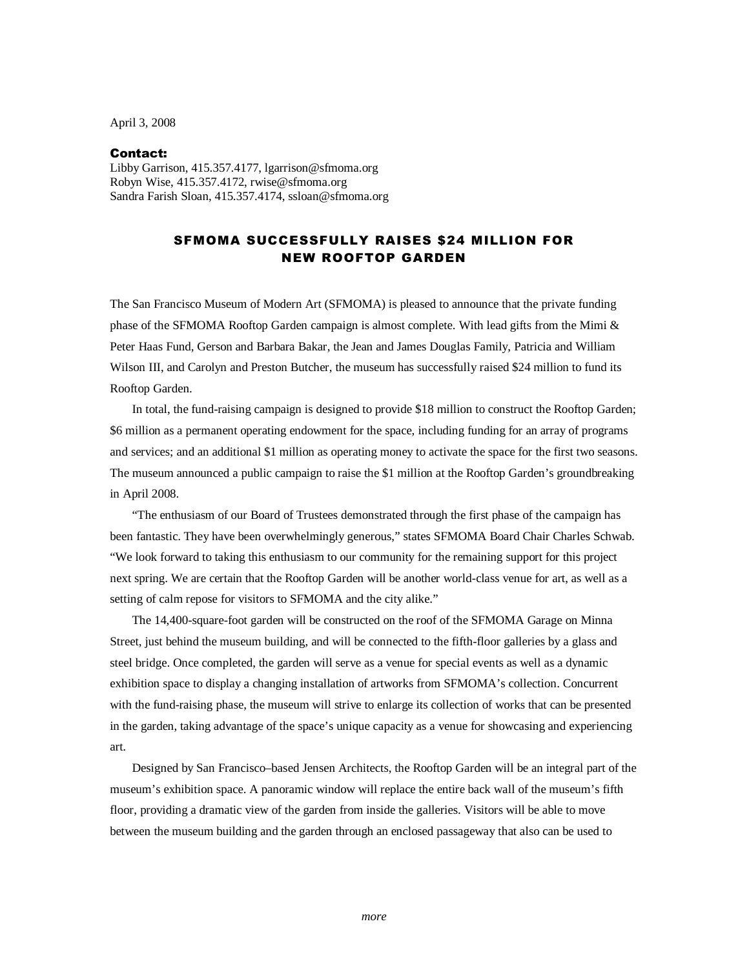April 3, 2008

## Contact:

Libby Garrison, 415.357.4177, lgarrison@sfmoma.org Robyn Wise, 415.357.4172, rwise@sfmoma.org Sandra Farish Sloan, 415.357.4174, ssloan@sfmoma.org

## SFMOMA SUCCESSFULLY RAISES \$24 MILLION FOR NEW ROOFTOP GARDEN

The San Francisco Museum of Modern Art (SFMOMA) is pleased to announce that the private funding phase of the SFMOMA Rooftop Garden campaign is almost complete. With lead gifts from the Mimi  $\&$ Peter Haas Fund, Gerson and Barbara Bakar, the Jean and James Douglas Family, Patricia and William Wilson III, and Carolyn and Preston Butcher, the museum has successfully raised \$24 million to fund its Rooftop Garden.

In total, the fund-raising campaign is designed to provide \$18 million to construct the Rooftop Garden; \$6 million as a permanent operating endowment for the space, including funding for an array of programs and services; and an additional \$1 million as operating money to activate the space for the first two seasons. The museum announced a public campaign to raise the \$1 million at the Rooftop Garden's groundbreaking in April 2008.

 "The enthusiasm of our Board of Trustees demonstrated through the first phase of the campaign has been fantastic. They have been overwhelmingly generous," states SFMOMA Board Chair Charles Schwab. "We look forward to taking this enthusiasm to our community for the remaining support for this project next spring. We are certain that the Rooftop Garden will be another world-class venue for art, as well as a setting of calm repose for visitors to SFMOMA and the city alike."

The 14,400-square-foot garden will be constructed on the roof of the SFMOMA Garage on Minna Street, just behind the museum building, and will be connected to the fifth-floor galleries by a glass and steel bridge. Once completed, the garden will serve as a venue for special events as well as a dynamic exhibition space to display a changing installation of artworks from SFMOMA's collection. Concurrent with the fund-raising phase, the museum will strive to enlarge its collection of works that can be presented in the garden, taking advantage of the space's unique capacity as a venue for showcasing and experiencing art.

Designed by San Francisco–based Jensen Architects, the Rooftop Garden will be an integral part of the museum's exhibition space. A panoramic window will replace the entire back wall of the museum's fifth floor, providing a dramatic view of the garden from inside the galleries. Visitors will be able to move between the museum building and the garden through an enclosed passageway that also can be used to